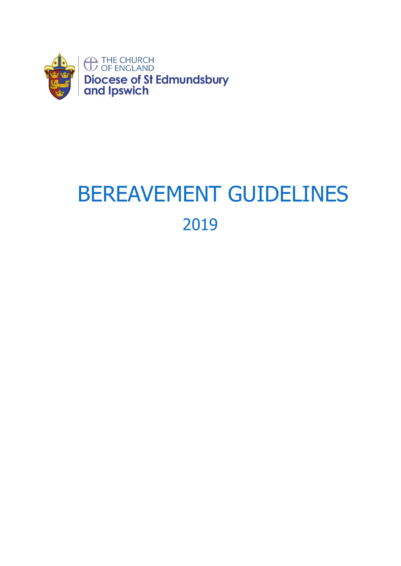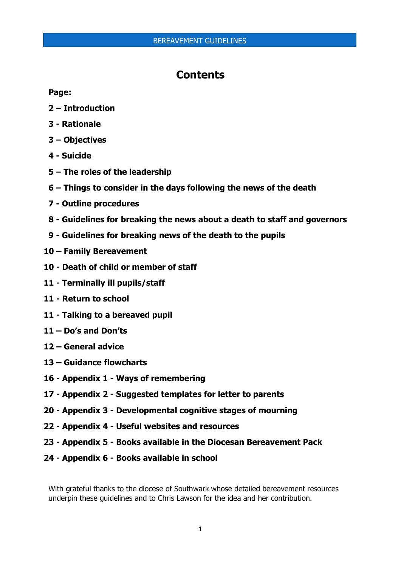## **Contents**

## **Page:**

- **– Introduction**
- **- Rationale**
- **– Objectives**
- **- Suicide**
- **– The roles of the leadership**
- **– Things to consider in the days following the news of the death**
- **- Outline procedures**
- **- Guidelines for breaking the news about a death to staff and governors**
- **- Guidelines for breaking news of the death to the pupils**
- **– Family Bereavement**
- **- Death of child or member of staff**
- **- Terminally ill pupils/staff**
- **- Return to school**
- **- Talking to a bereaved pupil**
- **– Do's and Don'ts**
- **– General advice**
- **– Guidance flowcharts**
- **- Appendix 1 - Ways of remembering**
- **- Appendix 2 - Suggested templates for letter to parents**
- **- Appendix 3 - Developmental cognitive stages of mourning**
- **- Appendix 4 - Useful websites and resources**
- **- Appendix 5 - Books available in the Diocesan Bereavement Pack**
- **- Appendix 6 - Books available in school**

With grateful thanks to the diocese of Southwark whose detailed bereavement resources underpin these guidelines and to Chris Lawson for the idea and her contribution.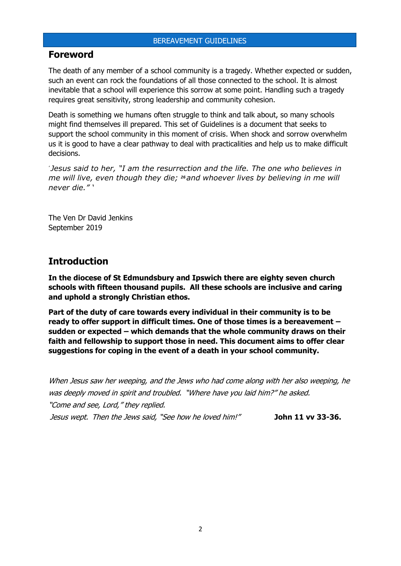## **Foreword**

The death of any member of a school community is a tragedy. Whether expected or sudden, such an event can rock the foundations of all those connected to the school. It is almost inevitable that a school will experience this sorrow at some point. Handling such a tragedy requires great sensitivity, strong leadership and community cohesion.

Death is something we humans often struggle to think and talk about, so many schools might find themselves ill prepared. This set of Guidelines is a document that seeks to support the school community in this moment of crisis. When shock and sorrow overwhelm us it is good to have a clear pathway to deal with practicalities and help us to make difficult decisions.

*' Jesus said to her, "I am the resurrection and the life. The one who believes in me will live, even though they die; <sup>26</sup>and whoever lives by believing in me will never die." '*

The Ven Dr David Jenkins September 2019

## **Introduction**

**In the diocese of St Edmundsbury and Ipswich there are eighty seven church schools with fifteen thousand pupils. All these schools are inclusive and caring and uphold a strongly Christian ethos.** 

**Part of the duty of care towards every individual in their community is to be ready to offer support in difficult times. One of those times is a bereavement – sudden or expected – which demands that the whole community draws on their faith and fellowship to support those in need. This document aims to offer clear suggestions for coping in the event of a death in your school community.**

When Jesus saw her weeping, and the Jews who had come along with her also weeping, he was deeply moved in spirit and troubled. "Where have you laid him?" he asked. "Come and see, Lord," they replied. Jesus wept. Then the Jews said, "See how he loved him!" **John 11 vv 33-36.**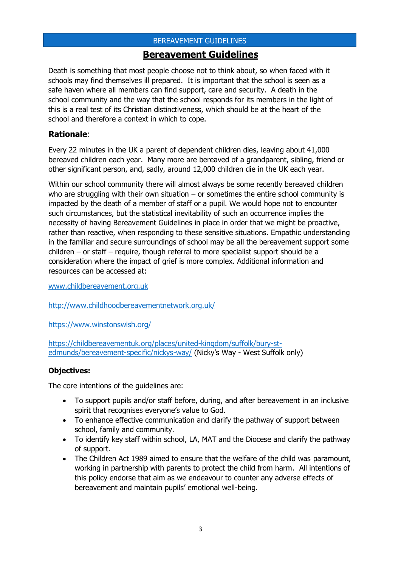## **Bereavement Guidelines**

Death is something that most people choose not to think about, so when faced with it schools may find themselves ill prepared. It is important that the school is seen as a safe haven where all members can find support, care and security. A death in the school community and the way that the school responds for its members in the light of this is a real test of its Christian distinctiveness, which should be at the heart of the school and therefore a context in which to cope.

## **Rationale**:

Every 22 minutes in the UK a parent of dependent children dies, leaving about 41,000 bereaved children each year. Many more are bereaved of a grandparent, sibling, friend or other significant person, and, sadly, around 12,000 children die in the UK each year.

Within our school community there will almost always be some recently bereaved children who are struggling with their own situation  $-$  or sometimes the entire school community is impacted by the death of a member of staff or a pupil. We would hope not to encounter such circumstances, but the statistical inevitability of such an occurrence implies the necessity of having Bereavement Guidelines in place in order that we might be proactive, rather than reactive, when responding to these sensitive situations. Empathic understanding in the familiar and secure surroundings of school may be all the bereavement support some children – or staff – require, though referral to more specialist support should be a consideration where the impact of grief is more complex. Additional information and resources can be accessed at:

[www.childbereavement.org.uk](http://www.childbereavement.org.uk/)

<http://www.childhoodbereavementnetwork.org.uk/>

<https://www.winstonswish.org/>

[https://childbereavementuk.org/places/united-kingdom/suffolk/bury-st](https://childbereavementuk.org/places/united-kingdom/suffolk/bury-st-edmunds/bereavement-specific/nickys-way/)[edmunds/bereavement-specific/nickys-way/](https://childbereavementuk.org/places/united-kingdom/suffolk/bury-st-edmunds/bereavement-specific/nickys-way/) (Nicky's Way - West Suffolk only)

## **Objectives:**

The core intentions of the guidelines are:

- To support pupils and/or staff before, during, and after bereavement in an inclusive spirit that recognises everyone's value to God.
- To enhance effective communication and clarify the pathway of support between school, family and community.
- To identify key staff within school, LA, MAT and the Diocese and clarify the pathway of support.
- The Children Act 1989 aimed to ensure that the welfare of the child was paramount, working in partnership with parents to protect the child from harm. All intentions of this policy endorse that aim as we endeavour to counter any adverse effects of bereavement and maintain pupils' emotional well-being.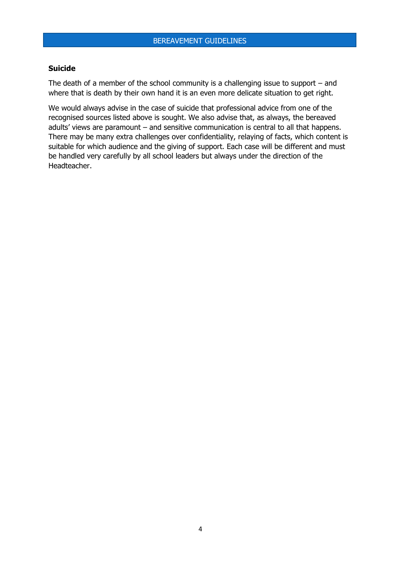#### **Suicide**

The death of a member of the school community is a challenging issue to support – and where that is death by their own hand it is an even more delicate situation to get right.

We would always advise in the case of suicide that professional advice from one of the recognised sources listed above is sought. We also advise that, as always, the bereaved adults' views are paramount – and sensitive communication is central to all that happens. There may be many extra challenges over confidentiality, relaying of facts, which content is suitable for which audience and the giving of support. Each case will be different and must be handled very carefully by all school leaders but always under the direction of the Headteacher.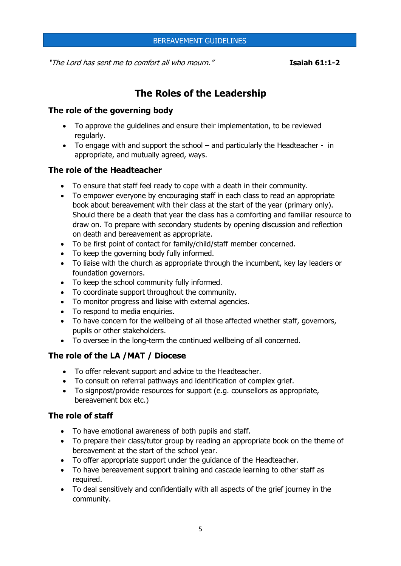"The Lord has sent me to comfort all who mourn." **Isaiah 61:1-2**

# **The Roles of the Leadership**

## **The role of the governing body**

- To approve the guidelines and ensure their implementation, to be reviewed regularly.
- To engage with and support the school and particularly the Headteacher in appropriate, and mutually agreed, ways.

## **The role of the Headteacher**

- To ensure that staff feel ready to cope with a death in their community.
- To empower everyone by encouraging staff in each class to read an appropriate book about bereavement with their class at the start of the year (primary only). Should there be a death that year the class has a comforting and familiar resource to draw on. To prepare with secondary students by opening discussion and reflection on death and bereavement as appropriate.
- To be first point of contact for family/child/staff member concerned.
- To keep the governing body fully informed.
- To liaise with the church as appropriate through the incumbent, key lay leaders or foundation governors.
- To keep the school community fully informed.
- To coordinate support throughout the community.
- To monitor progress and liaise with external agencies.
- To respond to media enquiries.
- To have concern for the wellbeing of all those affected whether staff, governors, pupils or other stakeholders.
- To oversee in the long-term the continued wellbeing of all concerned.

## **The role of the LA /MAT / Diocese**

- To offer relevant support and advice to the Headteacher.
- To consult on referral pathways and identification of complex grief.
- To signpost/provide resources for support (e.g. counsellors as appropriate, bereavement box etc.)

## **The role of staff**

- To have emotional awareness of both pupils and staff.
- To prepare their class/tutor group by reading an appropriate book on the theme of bereavement at the start of the school year.
- To offer appropriate support under the guidance of the Headteacher.
- To have bereavement support training and cascade learning to other staff as required.
- To deal sensitively and confidentially with all aspects of the grief journey in the community.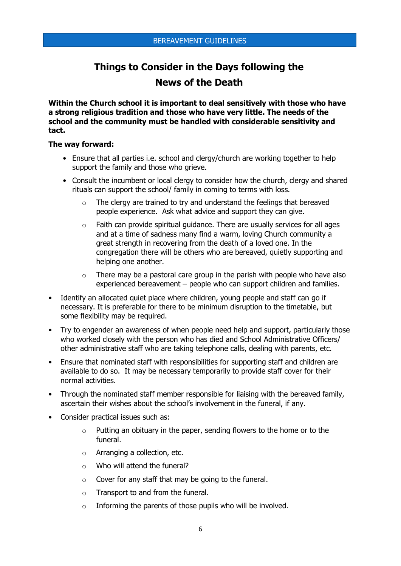# **Things to Consider in the Days following the News of the Death**

**Within the Church school it is important to deal sensitively with those who have a strong religious tradition and those who have very little. The needs of the school and the community must be handled with considerable sensitivity and tact.** 

#### **The way forward:**

- Ensure that all parties i.e. school and clergy/church are working together to help support the family and those who grieve.
- Consult the incumbent or local clergy to consider how the church, clergy and shared rituals can support the school/ family in coming to terms with loss.
	- o The clergy are trained to try and understand the feelings that bereaved people experience. Ask what advice and support they can give.
	- $\circ$  Faith can provide spiritual quidance. There are usually services for all ages and at a time of sadness many find a warm, loving Church community a great strength in recovering from the death of a loved one. In the congregation there will be others who are bereaved, quietly supporting and helping one another.
	- $\circ$  There may be a pastoral care group in the parish with people who have also experienced bereavement – people who can support children and families.
- Identify an allocated quiet place where children, young people and staff can go if necessary. It is preferable for there to be minimum disruption to the timetable, but some flexibility may be required.
- Try to engender an awareness of when people need help and support, particularly those who worked closely with the person who has died and School Administrative Officers/ other administrative staff who are taking telephone calls, dealing with parents, etc.
- Ensure that nominated staff with responsibilities for supporting staff and children are available to do so. It may be necessary temporarily to provide staff cover for their normal activities.
- Through the nominated staff member responsible for liaising with the bereaved family, ascertain their wishes about the school's involvement in the funeral, if any.
- Consider practical issues such as:
	- o Putting an obituary in the paper, sending flowers to the home or to the funeral.
	- o Arranging a collection, etc.
	- o Who will attend the funeral?
	- o Cover for any staff that may be going to the funeral.
	- o Transport to and from the funeral.
	- o Informing the parents of those pupils who will be involved.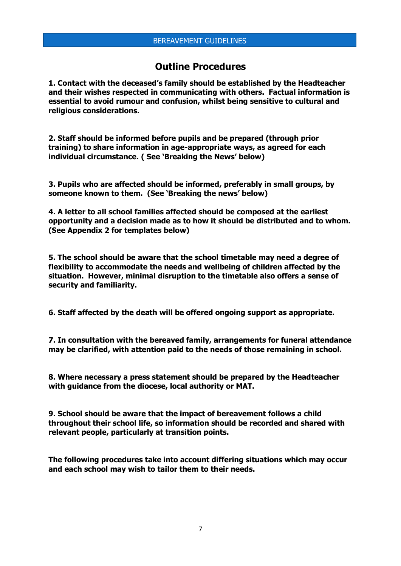## **Outline Procedures**

**1. Contact with the deceased's family should be established by the Headteacher and their wishes respected in communicating with others. Factual information is essential to avoid rumour and confusion, whilst being sensitive to cultural and religious considerations.** 

**2. Staff should be informed before pupils and be prepared (through prior training) to share information in age-appropriate ways, as agreed for each individual circumstance. ( See 'Breaking the News' below)**

**3. Pupils who are affected should be informed, preferably in small groups, by someone known to them. (See 'Breaking the news' below)**

**4. A letter to all school families affected should be composed at the earliest opportunity and a decision made as to how it should be distributed and to whom. (See Appendix 2 for templates below)**

**5. The school should be aware that the school timetable may need a degree of flexibility to accommodate the needs and wellbeing of children affected by the situation. However, minimal disruption to the timetable also offers a sense of security and familiarity.**

**6. Staff affected by the death will be offered ongoing support as appropriate.** 

**7. In consultation with the bereaved family, arrangements for funeral attendance may be clarified, with attention paid to the needs of those remaining in school.**

**8. Where necessary a press statement should be prepared by the Headteacher with guidance from the diocese, local authority or MAT.**

**9. School should be aware that the impact of bereavement follows a child throughout their school life, so information should be recorded and shared with relevant people, particularly at transition points.**

**The following procedures take into account differing situations which may occur and each school may wish to tailor them to their needs.**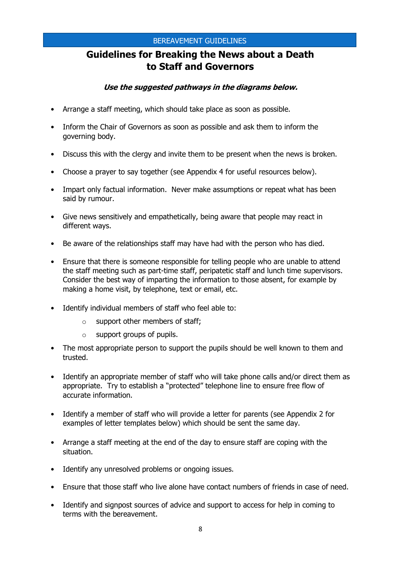# **Guidelines for Breaking the News about a Death to Staff and Governors**

## **Use the suggested pathways in the diagrams below.**

- Arrange a staff meeting, which should take place as soon as possible.
- Inform the Chair of Governors as soon as possible and ask them to inform the governing body.
- Discuss this with the clergy and invite them to be present when the news is broken.
- Choose a prayer to say together (see Appendix 4 for useful resources below).
- Impart only factual information. Never make assumptions or repeat what has been said by rumour.
- Give news sensitively and empathetically, being aware that people may react in different ways.
- Be aware of the relationships staff may have had with the person who has died.
- Ensure that there is someone responsible for telling people who are unable to attend the staff meeting such as part-time staff, peripatetic staff and lunch time supervisors. Consider the best way of imparting the information to those absent, for example by making a home visit, by telephone, text or email, etc.
- Identify individual members of staff who feel able to:
	- $\circ$  support other members of staff;
	- o support groups of pupils.
- The most appropriate person to support the pupils should be well known to them and trusted.
- Identify an appropriate member of staff who will take phone calls and/or direct them as appropriate. Try to establish a "protected" telephone line to ensure free flow of accurate information.
- Identify a member of staff who will provide a letter for parents (see Appendix 2 for examples of letter templates below) which should be sent the same day.
- Arrange a staff meeting at the end of the day to ensure staff are coping with the situation.
- Identify any unresolved problems or ongoing issues.
- Ensure that those staff who live alone have contact numbers of friends in case of need.
- Identify and signpost sources of advice and support to access for help in coming to terms with the bereavement.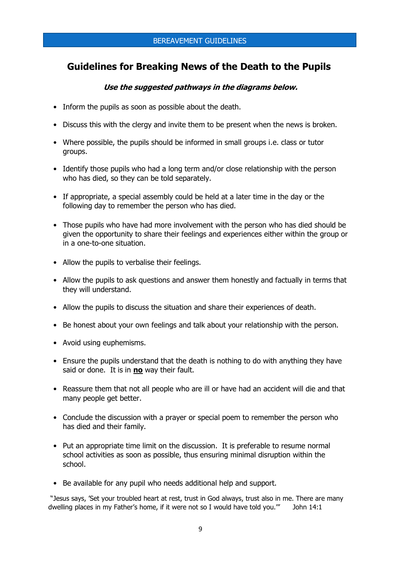## **Guidelines for Breaking News of the Death to the Pupils**

## **Use the suggested pathways in the diagrams below.**

- Inform the pupils as soon as possible about the death.
- Discuss this with the clergy and invite them to be present when the news is broken.
- Where possible, the pupils should be informed in small groups i.e. class or tutor groups.
- Identify those pupils who had a long term and/or close relationship with the person who has died, so they can be told separately.
- If appropriate, a special assembly could be held at a later time in the day or the following day to remember the person who has died.
- Those pupils who have had more involvement with the person who has died should be given the opportunity to share their feelings and experiences either within the group or in a one-to-one situation.
- Allow the pupils to verbalise their feelings.
- Allow the pupils to ask questions and answer them honestly and factually in terms that they will understand.
- Allow the pupils to discuss the situation and share their experiences of death.
- Be honest about your own feelings and talk about your relationship with the person.
- Avoid using euphemisms.
- Ensure the pupils understand that the death is nothing to do with anything they have said or done. It is in **no** way their fault.
- Reassure them that not all people who are ill or have had an accident will die and that many people get better.
- Conclude the discussion with a prayer or special poem to remember the person who has died and their family.
- Put an appropriate time limit on the discussion. It is preferable to resume normal school activities as soon as possible, thus ensuring minimal disruption within the school.
- Be available for any pupil who needs additional help and support.

"Jesus says, 'Set your troubled heart at rest, trust in God always, trust also in me. There are many dwelling places in my Father's home, if it were not so I would have told you.'" John 14:1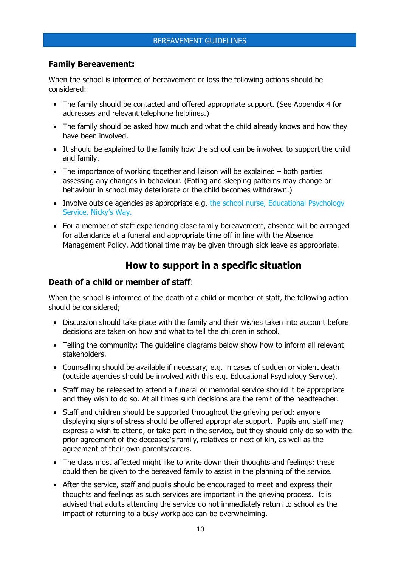## **Family Bereavement:**

When the school is informed of bereavement or loss the following actions should be considered:

- The family should be contacted and offered appropriate support. (See Appendix 4 for addresses and relevant telephone helplines.)
- The family should be asked how much and what the child already knows and how they have been involved.
- It should be explained to the family how the school can be involved to support the child and family.
- The importance of working together and liaison will be explained both parties assessing any changes in behaviour. (Eating and sleeping patterns may change or behaviour in school may deteriorate or the child becomes withdrawn.)
- Involve outside agencies as appropriate e.g. the school nurse, Educational Psychology Service, Nicky's Way.
- For a member of staff experiencing close family bereavement, absence will be arranged for attendance at a funeral and appropriate time off in line with the Absence Management Policy. Additional time may be given through sick leave as appropriate.

## **How to support in a specific situation**

## **Death of a child or member of staff**:

When the school is informed of the death of a child or member of staff, the following action should be considered;

- Discussion should take place with the family and their wishes taken into account before decisions are taken on how and what to tell the children in school.
- Telling the community: The guideline diagrams below show how to inform all relevant stakeholders.
- Counselling should be available if necessary, e.g. in cases of sudden or violent death (outside agencies should be involved with this e.g. Educational Psychology Service).
- Staff may be released to attend a funeral or memorial service should it be appropriate and they wish to do so. At all times such decisions are the remit of the headteacher.
- Staff and children should be supported throughout the grieving period; anyone displaying signs of stress should be offered appropriate support. Pupils and staff may express a wish to attend, or take part in the service, but they should only do so with the prior agreement of the deceased's family, relatives or next of kin, as well as the agreement of their own parents/carers.
- The class most affected might like to write down their thoughts and feelings; these could then be given to the bereaved family to assist in the planning of the service.
- After the service, staff and pupils should be encouraged to meet and express their thoughts and feelings as such services are important in the grieving process. It is advised that adults attending the service do not immediately return to school as the impact of returning to a busy workplace can be overwhelming.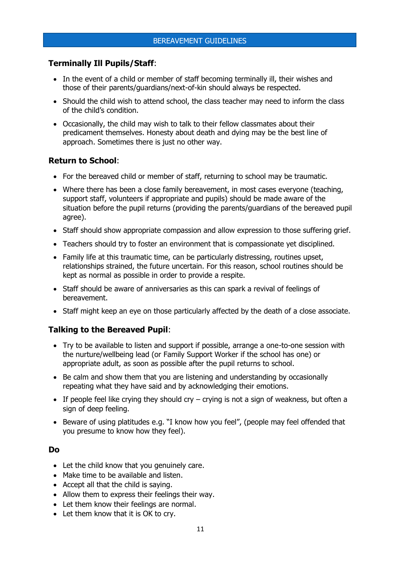## **Terminally Ill Pupils/Staff**:

- In the event of a child or member of staff becoming terminally ill, their wishes and those of their parents/guardians/next-of-kin should always be respected.
- Should the child wish to attend school, the class teacher may need to inform the class of the child's condition.
- Occasionally, the child may wish to talk to their fellow classmates about their predicament themselves. Honesty about death and dying may be the best line of approach. Sometimes there is just no other way.

## **Return to School**:

- For the bereaved child or member of staff, returning to school may be traumatic.
- Where there has been a close family bereavement, in most cases everyone (teaching, support staff, volunteers if appropriate and pupils) should be made aware of the situation before the pupil returns (providing the parents/guardians of the bereaved pupil agree).
- Staff should show appropriate compassion and allow expression to those suffering grief.
- Teachers should try to foster an environment that is compassionate yet disciplined.
- Family life at this traumatic time, can be particularly distressing, routines upset, relationships strained, the future uncertain. For this reason, school routines should be kept as normal as possible in order to provide a respite.
- Staff should be aware of anniversaries as this can spark a revival of feelings of bereavement.
- Staff might keep an eye on those particularly affected by the death of a close associate.

## **Talking to the Bereaved Pupil**:

- Try to be available to listen and support if possible, arrange a one-to-one session with the nurture/wellbeing lead (or Family Support Worker if the school has one) or appropriate adult, as soon as possible after the pupil returns to school.
- Be calm and show them that you are listening and understanding by occasionally repeating what they have said and by acknowledging their emotions.
- If people feel like crying they should cry crying is not a sign of weakness, but often a sign of deep feeling.
- Beware of using platitudes e.g. "I know how you feel", (people may feel offended that you presume to know how they feel).

## **Do**

- Let the child know that you genuinely care.
- Make time to be available and listen.
- Accept all that the child is saying.
- Allow them to express their feelings their way.
- Let them know their feelings are normal.
- Let them know that it is OK to cry.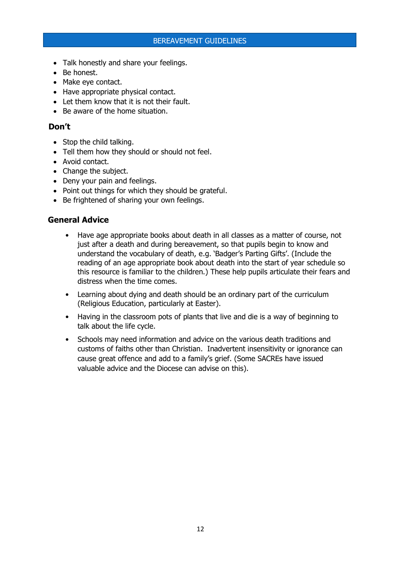- Talk honestly and share your feelings.
- Be honest.
- Make eye contact.
- Have appropriate physical contact.
- Let them know that it is not their fault.
- Be aware of the home situation.

## **Don't**

- Stop the child talking.
- Tell them how they should or should not feel.
- Avoid contact.
- Change the subject.
- Deny your pain and feelings.
- Point out things for which they should be grateful.
- Be frightened of sharing your own feelings.

## **General Advice**

- Have age appropriate books about death in all classes as a matter of course, not just after a death and during bereavement, so that pupils begin to know and understand the vocabulary of death, e.g. 'Badger's Parting Gifts'. (Include the reading of an age appropriate book about death into the start of year schedule so this resource is familiar to the children.) These help pupils articulate their fears and distress when the time comes.
- Learning about dying and death should be an ordinary part of the curriculum (Religious Education, particularly at Easter).
- Having in the classroom pots of plants that live and die is a way of beginning to talk about the life cycle.
- Schools may need information and advice on the various death traditions and customs of faiths other than Christian. Inadvertent insensitivity or ignorance can cause great offence and add to a family's grief. (Some SACREs have issued valuable advice and the Diocese can advise on this).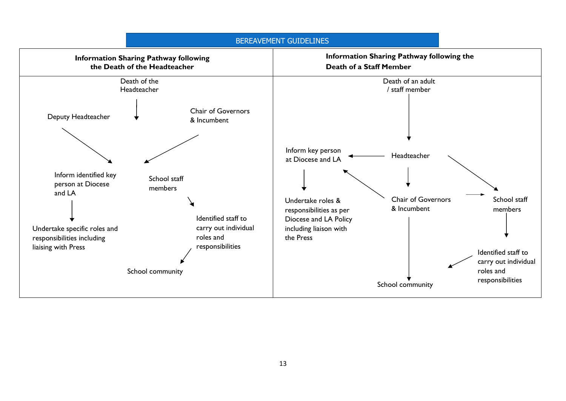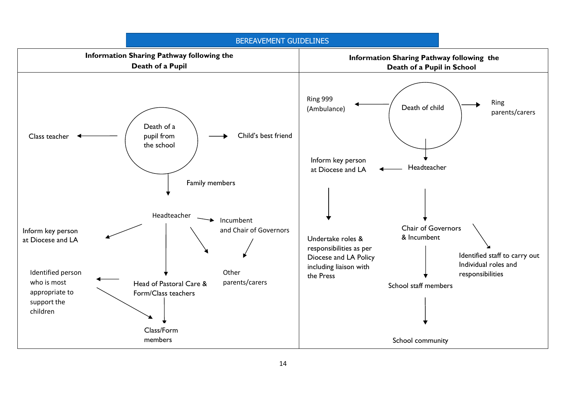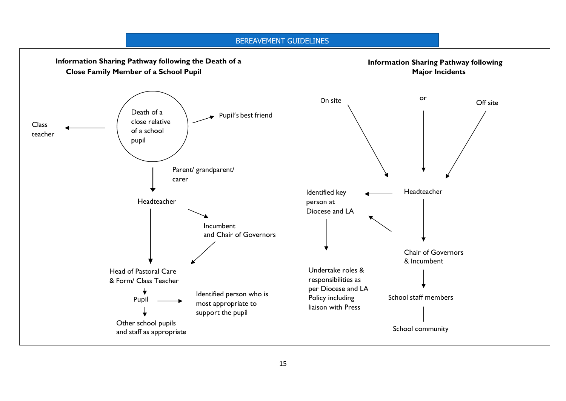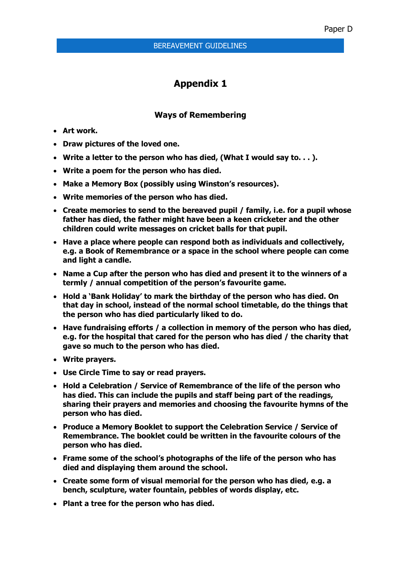## **Appendix 1**

## **Ways of Remembering**

- **Art work.**
- **Draw pictures of the loved one.**
- **Write a letter to the person who has died, (What I would say to. . . ).**
- **Write a poem for the person who has died.**
- **Make a Memory Box (possibly using Winston's resources).**
- **Write memories of the person who has died.**
- **Create memories to send to the bereaved pupil / family, i.e. for a pupil whose father has died, the father might have been a keen cricketer and the other children could write messages on cricket balls for that pupil.**
- **Have a place where people can respond both as individuals and collectively, e.g. a Book of Remembrance or a space in the school where people can come and light a candle.**
- **Name a Cup after the person who has died and present it to the winners of a termly / annual competition of the person's favourite game.**
- **Hold a 'Bank Holiday' to mark the birthday of the person who has died. On that day in school, instead of the normal school timetable, do the things that the person who has died particularly liked to do.**
- **Have fundraising efforts / a collection in memory of the person who has died, e.g. for the hospital that cared for the person who has died / the charity that gave so much to the person who has died.**
- **Write prayers.**
- **Use Circle Time to say or read prayers.**
- **Hold a Celebration / Service of Remembrance of the life of the person who has died. This can include the pupils and staff being part of the readings, sharing their prayers and memories and choosing the favourite hymns of the person who has died.**
- **Produce a Memory Booklet to support the Celebration Service / Service of Remembrance. The booklet could be written in the favourite colours of the person who has died.**
- **Frame some of the school's photographs of the life of the person who has died and displaying them around the school.**
- **Create some form of visual memorial for the person who has died, e.g. a bench, sculpture, water fountain, pebbles of words display, etc.**
- **Plant a tree for the person who has died.**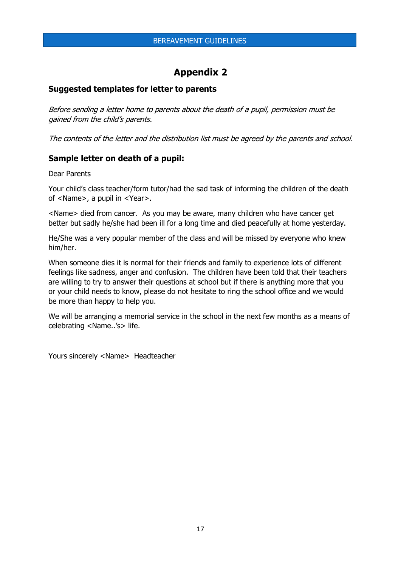## **Appendix 2**

## **Suggested templates for letter to parents**

Before sending a letter home to parents about the death of a pupil, permission must be gained from the child's parents.

The contents of the letter and the distribution list must be agreed by the parents and school.

### **Sample letter on death of a pupil:**

Dear Parents

Your child's class teacher/form tutor/had the sad task of informing the children of the death of <Name>, a pupil in <Year>.

<Name> died from cancer. As you may be aware, many children who have cancer get better but sadly he/she had been ill for a long time and died peacefully at home yesterday.

He/She was a very popular member of the class and will be missed by everyone who knew him/her.

When someone dies it is normal for their friends and family to experience lots of different feelings like sadness, anger and confusion. The children have been told that their teachers are willing to try to answer their questions at school but if there is anything more that you or your child needs to know, please do not hesitate to ring the school office and we would be more than happy to help you.

We will be arranging a memorial service in the school in the next few months as a means of celebrating <Name..'s> life.

Yours sincerely <Name> Headteacher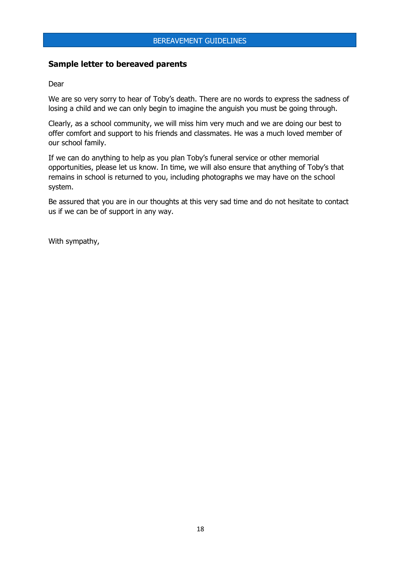## **Sample letter to bereaved parents**

#### Dear

We are so very sorry to hear of Toby's death. There are no words to express the sadness of losing a child and we can only begin to imagine the anguish you must be going through.

Clearly, as a school community, we will miss him very much and we are doing our best to offer comfort and support to his friends and classmates. He was a much loved member of our school family.

If we can do anything to help as you plan Toby's funeral service or other memorial opportunities, please let us know. In time, we will also ensure that anything of Toby's that remains in school is returned to you, including photographs we may have on the school system.

Be assured that you are in our thoughts at this very sad time and do not hesitate to contact us if we can be of support in any way.

With sympathy,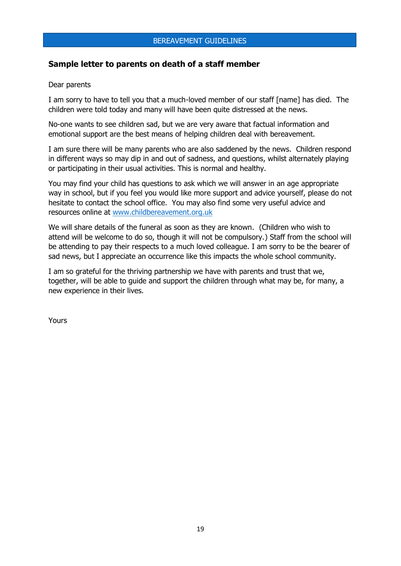## **Sample letter to parents on death of a staff member**

#### Dear parents

I am sorry to have to tell you that a much-loved member of our staff [name] has died. The children were told today and many will have been quite distressed at the news.

No-one wants to see children sad, but we are very aware that factual information and emotional support are the best means of helping children deal with bereavement.

I am sure there will be many parents who are also saddened by the news. Children respond in different ways so may dip in and out of sadness, and questions, whilst alternately playing or participating in their usual activities. This is normal and healthy.

You may find your child has questions to ask which we will answer in an age appropriate way in school, but if you feel you would like more support and advice yourself, please do not hesitate to contact the school office. You may also find some very useful advice and resources online at [www.childbereavement.org.uk](http://www.childbereavement.org.uk/)

We will share details of the funeral as soon as they are known. (Children who wish to attend will be welcome to do so, though it will not be compulsory.) Staff from the school will be attending to pay their respects to a much loved colleague. I am sorry to be the bearer of sad news, but I appreciate an occurrence like this impacts the whole school community.

I am so grateful for the thriving partnership we have with parents and trust that we, together, will be able to guide and support the children through what may be, for many, a new experience in their lives.

Yours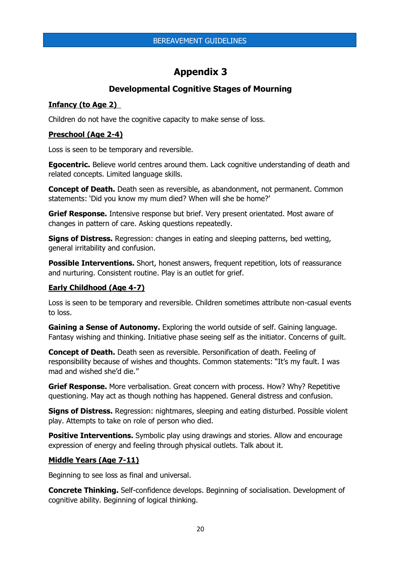## **Appendix 3**

## **Developmental Cognitive Stages of Mourning**

## **Infancy (to Age 2)**

Children do not have the cognitive capacity to make sense of loss.

## **Preschool (Age 2-4)**

Loss is seen to be temporary and reversible.

**Egocentric.** Believe world centres around them. Lack cognitive understanding of death and related concepts. Limited language skills.

**Concept of Death.** Death seen as reversible, as abandonment, not permanent. Common statements: 'Did you know my mum died? When will she be home?'

**Grief Response.** Intensive response but brief. Very present orientated. Most aware of changes in pattern of care. Asking questions repeatedly.

**Signs of Distress.** Regression: changes in eating and sleeping patterns, bed wetting, general irritability and confusion.

**Possible Interventions.** Short, honest answers, frequent repetition, lots of reassurance and nurturing. Consistent routine. Play is an outlet for grief.

## **Early Childhood (Age 4-7)**

Loss is seen to be temporary and reversible. Children sometimes attribute non-casual events to loss.

**Gaining a Sense of Autonomy.** Exploring the world outside of self. Gaining language. Fantasy wishing and thinking. Initiative phase seeing self as the initiator. Concerns of guilt.

**Concept of Death.** Death seen as reversible. Personification of death. Feeling of responsibility because of wishes and thoughts. Common statements: "It's my fault. I was mad and wished she'd die."

**Grief Response.** More verbalisation. Great concern with process. How? Why? Repetitive questioning. May act as though nothing has happened. General distress and confusion.

**Signs of Distress.** Regression: nightmares, sleeping and eating disturbed. Possible violent play. Attempts to take on role of person who died.

**Positive Interventions.** Symbolic play using drawings and stories. Allow and encourage expression of energy and feeling through physical outlets. Talk about it.

## **Middle Years (Age 7-11)**

Beginning to see loss as final and universal.

**Concrete Thinking.** Self-confidence develops. Beginning of socialisation. Development of cognitive ability. Beginning of logical thinking.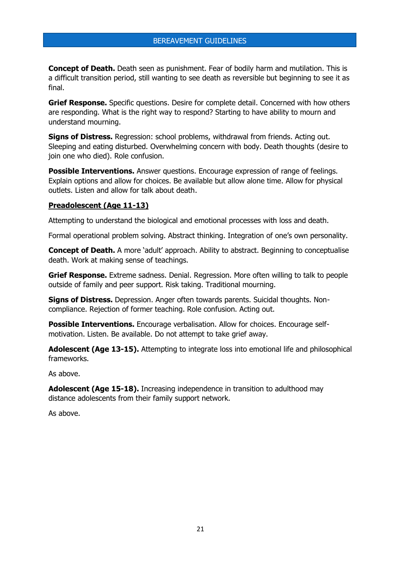**Concept of Death.** Death seen as punishment. Fear of bodily harm and mutilation. This is a difficult transition period, still wanting to see death as reversible but beginning to see it as final.

**Grief Response.** Specific questions. Desire for complete detail. Concerned with how others are responding. What is the right way to respond? Starting to have ability to mourn and understand mourning.

**Signs of Distress.** Regression: school problems, withdrawal from friends. Acting out. Sleeping and eating disturbed. Overwhelming concern with body. Death thoughts (desire to join one who died). Role confusion.

**Possible Interventions.** Answer questions. Encourage expression of range of feelings. Explain options and allow for choices. Be available but allow alone time. Allow for physical outlets. Listen and allow for talk about death.

#### **Preadolescent (Age 11-13)**

Attempting to understand the biological and emotional processes with loss and death.

Formal operational problem solving. Abstract thinking. Integration of one's own personality.

**Concept of Death.** A more 'adult' approach. Ability to abstract. Beginning to conceptualise death. Work at making sense of teachings.

**Grief Response.** Extreme sadness. Denial. Regression. More often willing to talk to people outside of family and peer support. Risk taking. Traditional mourning.

**Signs of Distress.** Depression. Anger often towards parents. Suicidal thoughts. Noncompliance. Rejection of former teaching. Role confusion. Acting out.

**Possible Interventions.** Encourage verbalisation. Allow for choices. Encourage selfmotivation. Listen. Be available. Do not attempt to take grief away.

**Adolescent (Age 13-15).** Attempting to integrate loss into emotional life and philosophical frameworks.

As above.

**Adolescent (Age 15-18).** Increasing independence in transition to adulthood may distance adolescents from their family support network.

As above.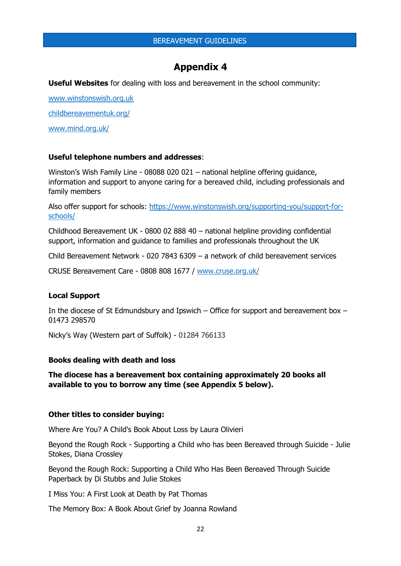## **Appendix 4**

**Useful Websites** for dealing with loss and bereavement in the school community:

[www.winstonswish.org.uk](http://www.winstonswish.org.uk/)

[childbereavementuk.org/](https://childbereavementuk.org/)

[www.mind.org.uk/](https://www.mind.org.uk/)

#### **Useful telephone numbers and addresses**:

Winston's Wish Family Line - 08088 020 021 – national helpline offering guidance, information and support to anyone caring for a bereaved child, including professionals and family members

Also offer support for schools: [https://www.winstonswish.org/supporting-you/support-for](https://www.winstonswish.org/supporting-you/support-for-schools/)[schools/](https://www.winstonswish.org/supporting-you/support-for-schools/)

Childhood Bereavement UK - 0800 02 888 40 – national helpline providing confidential support, information and guidance to families and professionals throughout the UK

Child Bereavement Network - 020 7843 6309 – a network of child bereavement services

CRUSE Bereavement Care - 0808 808 1677 / [www.cruse.org.uk/](https://www.cruse.org.uk/)

#### **Local Support**

In the diocese of St Edmundsbury and Ipswich – Office for support and bereavement box – 01473 298570

Nicky's Way (Western part of Suffolk) - 01284 766133

#### **Books dealing with death and loss**

**The diocese has a bereavement box containing approximately 20 books all available to you to borrow any time (see Appendix 5 below).** 

#### **Other titles to consider buying:**

Where Are You? A Child's Book About Loss by Laura Olivieri

Beyond the Rough Rock - Supporting a Child who has been Bereaved through Suicide - Julie Stokes, Diana Crossley

Beyond the Rough Rock: Supporting a Child Who Has Been Bereaved Through Suicide Paperback by Di Stubbs and Julie Stokes

I Miss You: A First Look at Death by Pat Thomas

The Memory Box: A Book About Grief by Joanna Rowland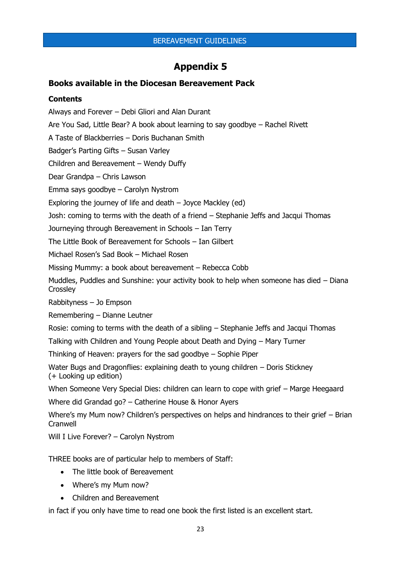## **Appendix 5**

## **Books available in the Diocesan Bereavement Pack**

### **Contents**

Always and Forever – Debi Gliori and Alan Durant

Are You Sad, Little Bear? A book about learning to say goodbye – Rachel Rivett

A Taste of Blackberries – Doris Buchanan Smith

Badger's Parting Gifts – Susan Varley

Children and Bereavement – Wendy Duffy

Dear Grandpa – Chris Lawson

Emma says goodbye – Carolyn Nystrom

Exploring the journey of life and death – Joyce Mackley (ed)

Josh: coming to terms with the death of a friend – Stephanie Jeffs and Jacqui Thomas

Journeying through Bereavement in Schools – Ian Terry

The Little Book of Bereavement for Schools – Ian Gilbert

Michael Rosen's Sad Book – Michael Rosen

Missing Mummy: a book about bereavement – Rebecca Cobb

Muddles, Puddles and Sunshine: your activity book to help when someone has died – Diana **Crossley** 

Rabbityness – Jo Empson

Remembering – Dianne Leutner

Rosie: coming to terms with the death of a sibling – Stephanie Jeffs and Jacqui Thomas

Talking with Children and Young People about Death and Dying – Mary Turner

Thinking of Heaven: prayers for the sad goodbye – Sophie Piper

Water Bugs and Dragonflies: explaining death to young children – Doris Stickney (+ Looking up edition)

When Someone Very Special Dies: children can learn to cope with grief – Marge Heegaard

Where did Grandad go? – Catherine House & Honor Ayers

Where's my Mum now? Children's perspectives on helps and hindrances to their grief – Brian **Cranwell** 

Will I Live Forever? - Carolyn Nystrom

THREE books are of particular help to members of Staff:

- The little book of Bereavement
- Where's my Mum now?
- Children and Bereavement

in fact if you only have time to read one book the first listed is an excellent start.